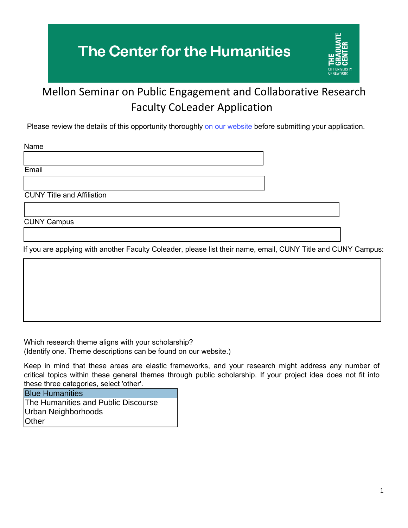## **The Center for the Humanities**



## Mellon Seminar on Public Engagement and Collaborative Research Faculty CoLeader Application

Please review the details of this opportunity thoroughly [on our website](https://www.centerforthehumanities.org/programming/call-for-cuny-faculty-applications-seminar-on-public-engagement-and-collaborative-research) before submitting your application.

Name

Email

CUNY Title and Affiliation

CUNY Campus

If you are applying with another Faculty Coleader, please list their name, email, CUNY Title and CUNY Campus:

Which research theme aligns with your scholarship? (Identify one. Theme descriptions can be found on our website.)

Keep in mind that these areas are elastic frameworks, and your research might address any number of critical topics within these general themes through public scholarship. If your project idea does not fit into these three categories, select 'other'.

Blue Humanities The Humanities and Public Discourse Urban Neighborhoods **Other**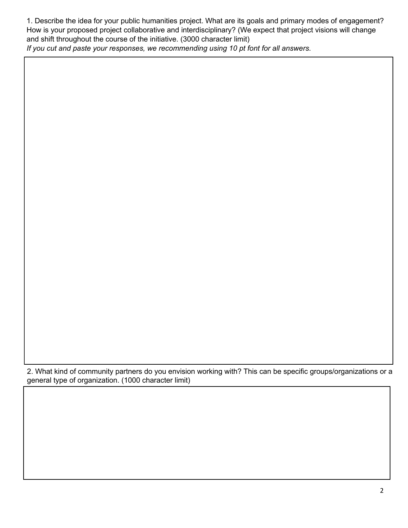1. Describe the idea for your public humanities project. What are its goals and primary modes of engagement? How is your proposed project collaborative and interdisciplinary? (We expect that project visions will change and shift throughout the course of the initiative. (3000 character limit)

*If you cut and paste your responses, we recommending using 10 pt font for all answers.*

2. What kind of community partners do you envision working with? This can be specific groups/organizations or a general type of organization. (1000 character limit)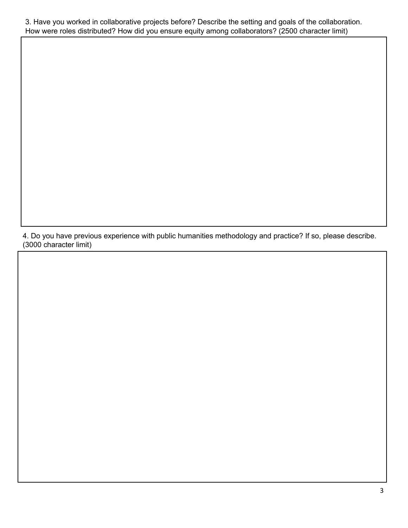3. Have you worked in collaborative projects before? Describe the setting and goals of the collaboration. How were roles distributed? How did you ensure equity among collaborators? (2500 character limit)

4. Do you have previous experience with public humanities methodology and practice? If so, please describe. (3000 character limit)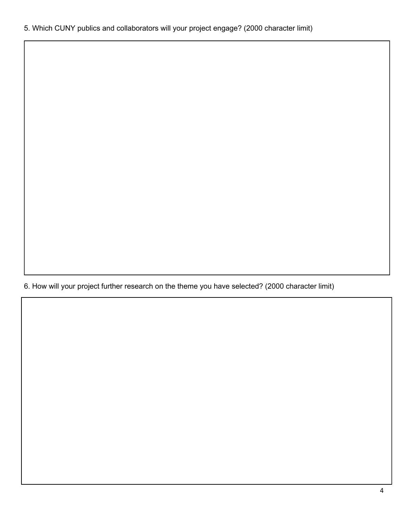. How will your project further research on the theme you have selected? (2000 character limit)